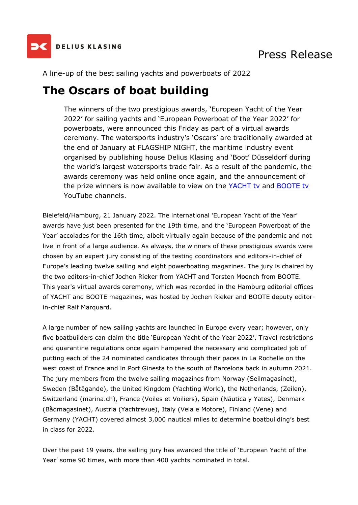

### Press Release

A line-up of the best sailing yachts and powerboats of 2022

## **The Oscars of boat building**

The winners of the two prestigious awards, 'European Yacht of the Year 2022' for sailing yachts and 'European Powerboat of the Year 2022' for powerboats, were announced this Friday as part of a virtual awards ceremony. The watersports industry's 'Oscars' are traditionally awarded at the end of January at FLAGSHIP NIGHT, the maritime industry event organised by publishing house Delius Klasing and 'Boot' Düsseldorf during the world's largest watersports trade fair. As a result of the pandemic, the awards ceremony was held online once again, and the announcement of the prize winners is now available to view on the [YACHT tv](https://www.youtube.com/watch?v=fRAQXXF9yso) and [BOOTE tv](https://www.youtube.com/watch?v=4rsvc8lFxKI) YouTube channels.

Bielefeld/Hamburg, 21 January 2022. The international 'European Yacht of the Year' awards have just been presented for the 19th time, and the 'European Powerboat of the Year' accolades for the 16th time, albeit virtually again because of the pandemic and not live in front of a large audience. As always, the winners of these prestigious awards were chosen by an expert jury consisting of the testing coordinators and editors-in-chief of Europe's leading twelve sailing and eight powerboating magazines. The jury is chaired by the two editors-in-chief Jochen Rieker from YACHT and Torsten Moench from BOOTE. This year's virtual awards ceremony, which was recorded in the Hamburg editorial offices of YACHT and BOOTE magazines, was hosted by Jochen Rieker and BOOTE deputy editorin-chief Ralf Marquard.

A large number of new sailing yachts are launched in Europe every year; however, only five boatbuilders can claim the title 'European Yacht of the Year 2022'. Travel restrictions and quarantine regulations once again hampered the necessary and complicated job of putting each of the 24 nominated candidates through their paces in La Rochelle on the west coast of France and in Port Ginesta to the south of Barcelona back in autumn 2021. The jury members from the twelve sailing magazines from Norway (Seilmagasinet), Sweden (Båtägande), the United Kingdom (Yachting World), the Netherlands, (Zeilen), Switzerland (marina.ch), France (Voiles et Voiliers), Spain (Náutica y Yates), Denmark (Bådmagasinet), Austria (Yachtrevue), Italy (Vela e Motore), Finland (Vene) and Germany (YACHT) covered almost 3,000 nautical miles to determine boatbuilding's best in class for 2022.

Over the past 19 years, the sailing jury has awarded the title of 'European Yacht of the Year' some 90 times, with more than 400 yachts nominated in total.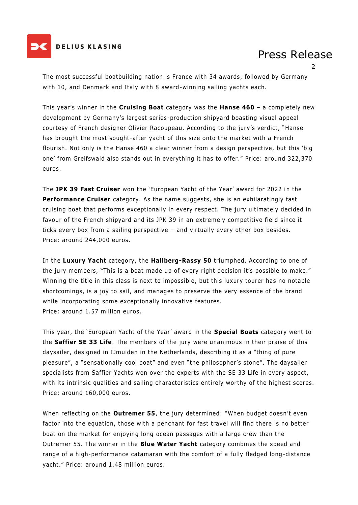

#### **DELIUS KLASING**

## Press Release

2

The most successful boatbuilding nation is France with 34 awards, followed by Germany with 10, and Denmark and Italy with 8 award-winning sailing yachts each.

This year's winner in the **Cruising Boat** category was the **Hanse 460** – a completely new development by Germany's largest series-production shipyard boasting visual appeal courtesy of French designer Olivier Racoupeau. According to the jury's verdict, "Hanse has brought the most sought-after yacht of this size onto the market with a French flourish. Not only is the Hanse 460 a clear winner from a design perspective, but this 'big one' from Greifswald also stands out in everything it has to offer." Price: around 322,370 euros.

The **JPK 39 Fast Cruiser** won the 'European Yacht of the Year' award for 2022 in the **Performance Cruiser** category. As the name suggests, she is an exhilaratingly fast cruising boat that performs exceptionally in every respect. The jury ultimately decided in favour of the French shipyard and its JPK 39 in an extremely competitive field since it ticks every box from a sailing perspective – and virtually every other box besides. Price: around 244,000 euros.

In the **Luxury Yacht** category, the **Hallberg-Rassy 50** triumphed. According to one of the jury members, "This is a boat made up of every right decision it's possible to make." Winning the title in this class is next to impossible, but this luxury tourer has no notable shortcomings, is a joy to sail, and manages to preserve the very essence of the brand while incorporating some exceptionally innovative features. Price: around 1.57 million euros.

This year, the 'European Yacht of the Year' award in the **Special Boats** category went to the **Saffier SE 33 Life**. The members of the jury were unanimous in their praise of this daysailer, designed in IJmuiden in the Netherlands, describing it as a "thing of pure pleasure", a "sensationally cool boat" and even "the philosopher's stone". The daysailer specialists from Saffier Yachts won over the experts with the SE 33 Life in every aspect, with its intrinsic qualities and sailing characteristics entirely worthy of the highest scores. Price: around 160,000 euros.

When reflecting on the **Outremer 55**, the jury determined: "When budget doesn't even factor into the equation, those with a penchant for fast travel will find there is no better boat on the market for enjoying long ocean passages with a large crew than the Outremer 55. The winner in the **Blue Water Yacht** category combines the speed and range of a high-performance catamaran with the comfort of a fully fledged long-distance yacht." Price: around 1.48 million euros.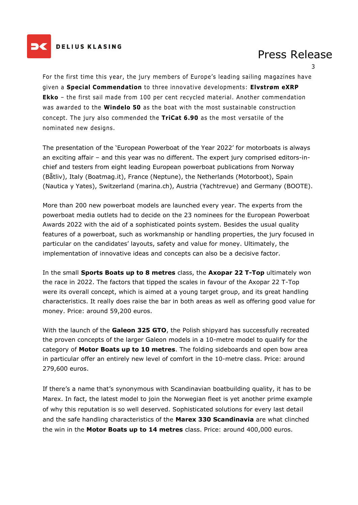

#### **DELIUS KLASING**

## Press Release

3

For the first time this year, the jury members of Europe's leading sailing magazines have given a **Special Commendation** to three innovative developments: **Elvstrøm eXRP Ekko** – the first sail made from 100 per cent recycled material. Another commendation was awarded to the **Windelo 50** as the boat with the most sustainable construction concept. The jury also commended the **TriCat 6.90** as the most versatile of the nominated new designs.

The presentation of the 'European Powerboat of the Year 2022' for motorboats is always an exciting affair – and this year was no different. The expert jury comprised editors-inchief and testers from eight leading European powerboat publications from Norway (Båtliv), Italy (Boatmag.it), France (Neptune), the Netherlands (Motorboot), Spain (Nautica y Yates), Switzerland (marina.ch), Austria (Yachtrevue) and Germany (BOOTE).

More than 200 new powerboat models are launched every year. The experts from the powerboat media outlets had to decide on the 23 nominees for the European Powerboat Awards 2022 with the aid of a sophisticated points system. Besides the usual quality features of a powerboat, such as workmanship or handling properties, the jury focused in particular on the candidates' layouts, safety and value for money. Ultimately, the implementation of innovative ideas and concepts can also be a decisive factor.

In the small **Sports Boats up to 8 metres** class, the **Axopar 22 T-Top** ultimately won the race in 2022. The factors that tipped the scales in favour of the Axopar 22 T-Top were its overall concept, which is aimed at a young target group, and its great handling characteristics. It really does raise the bar in both areas as well as offering good value for money. Price: around 59,200 euros.

With the launch of the **Galeon 325 GTO**, the Polish shipyard has successfully recreated the proven concepts of the larger Galeon models in a 10-metre model to qualify for the category of **Motor Boats up to 10 metres**. The folding sideboards and open bow area in particular offer an entirely new level of comfort in the 10-metre class. Price: around 279,600 euros.

If there's a name that's synonymous with Scandinavian boatbuilding quality, it has to be Marex. In fact, the latest model to join the Norwegian fleet is yet another prime example of why this reputation is so well deserved. Sophisticated solutions for every last detail and the safe handling characteristics of the **Marex 330 Scandinavia** are what clinched the win in the **Motor Boats up to 14 metres** class. Price: around 400,000 euros.